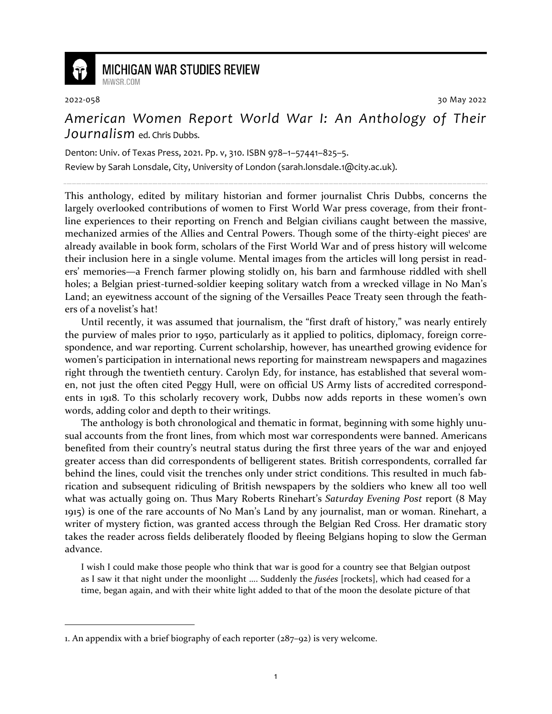

## **MICHIGAN WAR STUDIES REVIEW**

MiWSR COM

2022-058 30 May 2022

## *American Women Report World War I: An Anthology of Their Journalism* ed. Chris Dubbs.

Denton: Univ. of Texas Press, 2021. Pp. v, 310. ISBN 978–1–57441–825–5.

Review by Sarah Lonsdale, City, University of London (sarah.lonsdale.1@city.ac.uk).

This anthology, edited by military historian and former journalist Chris Dubbs, concerns the largely overlooked contributions of women to First World War press coverage, from their frontline experiences to their reporting on French and Belgian civilians caught between the massive, mechanized armies of the Allies and Central Powers. Though some of the thirty-eight pieces<sup>1</sup> are already available in book form, scholars of the First World War and of press history will welcome their inclusion here in a single volume. Mental images from the articles will long persist in readers' memories—a French farmer plowing stolidly on, his barn and farmhouse riddled with shell holes; a Belgian priest-turned-soldier keeping solitary watch from a wrecked village in No Man's Land; an eyewitness account of the signing of the Versailles Peace Treaty seen through the feathers of a novelist's hat!

Until recently, it was assumed that journalism, the "first draft of history," was nearly entirely the purview of males prior to 1950, particularly as it applied to politics, diplomacy, foreign correspondence, and war reporting. Current scholarship, however, has unearthed growing evidence for women's participation in international news reporting for mainstream newspapers and magazines right through the twentieth century. Carolyn Edy, for instance, has established that several women, not just the often cited Peggy Hull, were on official US Army lists of accredited correspondents in 1918. To this scholarly recovery work, Dubbs now adds reports in these women's own words, adding color and depth to their writings.

The anthology is both chronological and thematic in format, beginning with some highly unusual accounts from the front lines, from which most war correspondents were banned. Americans benefited from their country's neutral status during the first three years of the war and enjoyed greater access than did correspondents of belligerent states. British correspondents, corralled far behind the lines, could visit the trenches only under strict conditions. This resulted in much fabrication and subsequent ridiculing of British newspapers by the soldiers who knew all too well what was actually going on. Thus Mary Roberts Rinehart's *Saturday Evening Post* report (8 May 1915) is one of the rare accounts of No Man's Land by any journalist, man or woman. Rinehart, a writer of mystery fiction, was granted access through the Belgian Red Cross. Her dramatic story takes the reader across fields deliberately flooded by fleeing Belgians hoping to slow the German advance.

I wish I could make those people who think that war is good for a country see that Belgian outpost as I saw it that night under the moonlight …. Suddenly the *fusées* [rockets], which had ceased for a time, began again, and with their white light added to that of the moon the desolate picture of that

<sup>1.</sup> An appendix with a brief biography of each reporter (287–92) is very welcome.